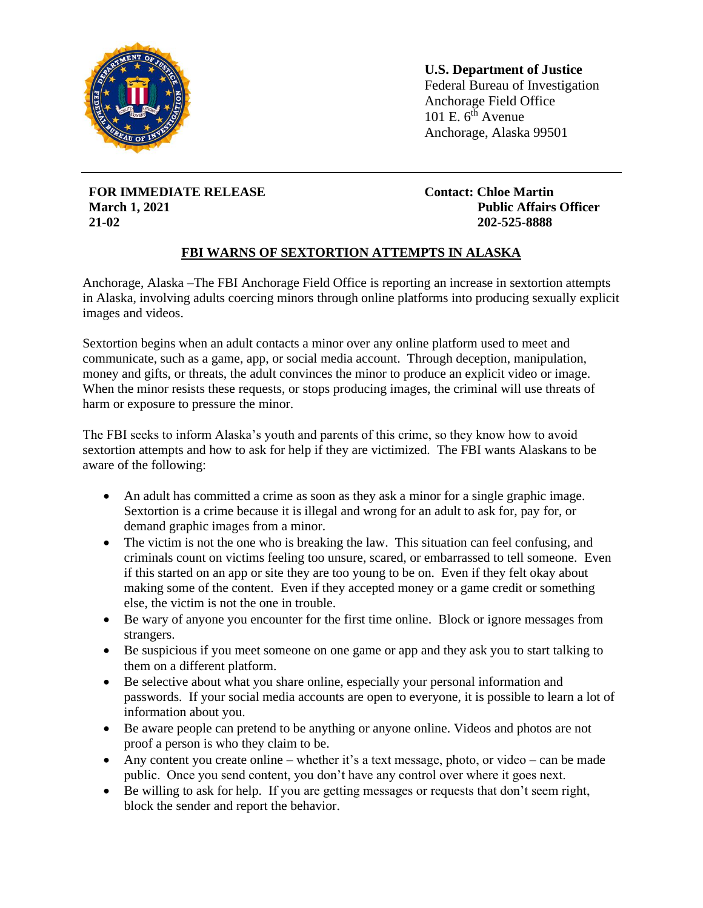

**U.S. Department of Justice** Federal Bureau of Investigation Anchorage Field Office 101 E.  $6^{th}$  Avenue Anchorage, Alaska 99501

**FOR IMMEDIATE RELEASE March 1, 2021 21-02**

**Contact: Chloe Martin Public Affairs Officer 202-525-8888**

## **FBI WARNS OF SEXTORTION ATTEMPTS IN ALASKA**

ֺ֞֡

Anchorage, Alaska –The FBI Anchorage Field Office is reporting an increase in sextortion attempts in Alaska, involving adults coercing minors through online platforms into producing sexually explicit images and videos.

Sextortion begins when an adult contacts a minor over any online platform used to meet and communicate, such as a game, app, or social media account. Through deception, manipulation, money and gifts, or threats, the adult convinces the minor to produce an explicit video or image. When the minor resists these requests, or stops producing images, the criminal will use threats of harm or exposure to pressure the minor.

The FBI seeks to inform Alaska's youth and parents of this crime, so they know how to avoid sextortion attempts and how to ask for help if they are victimized. The FBI wants Alaskans to be aware of the following:

- An adult has committed a crime as soon as they ask a minor for a single graphic image. Sextortion is a crime because it is illegal and wrong for an adult to ask for, pay for, or demand graphic images from a minor.
- The victim is not the one who is breaking the law. This situation can feel confusing, and criminals count on victims feeling too unsure, scared, or embarrassed to tell someone. Even if this started on an app or site they are too young to be on. Even if they felt okay about making some of the content. Even if they accepted money or a game credit or something else, the victim is not the one in trouble.
- Be wary of anyone you encounter for the first time online. Block or ignore messages from strangers.
- Be suspicious if you meet someone on one game or app and they ask you to start talking to them on a different platform.
- Be selective about what you share online, especially your personal information and passwords. If your social media accounts are open to everyone, it is possible to learn a lot of information about you.
- Be aware people can pretend to be anything or anyone online. Videos and photos are not proof a person is who they claim to be.
- Any content you create online whether it's a text message, photo, or video can be made public. Once you send content, you don't have any control over where it goes next.
- Be willing to ask for help. If you are getting messages or requests that don't seem right, block the sender and report the behavior.